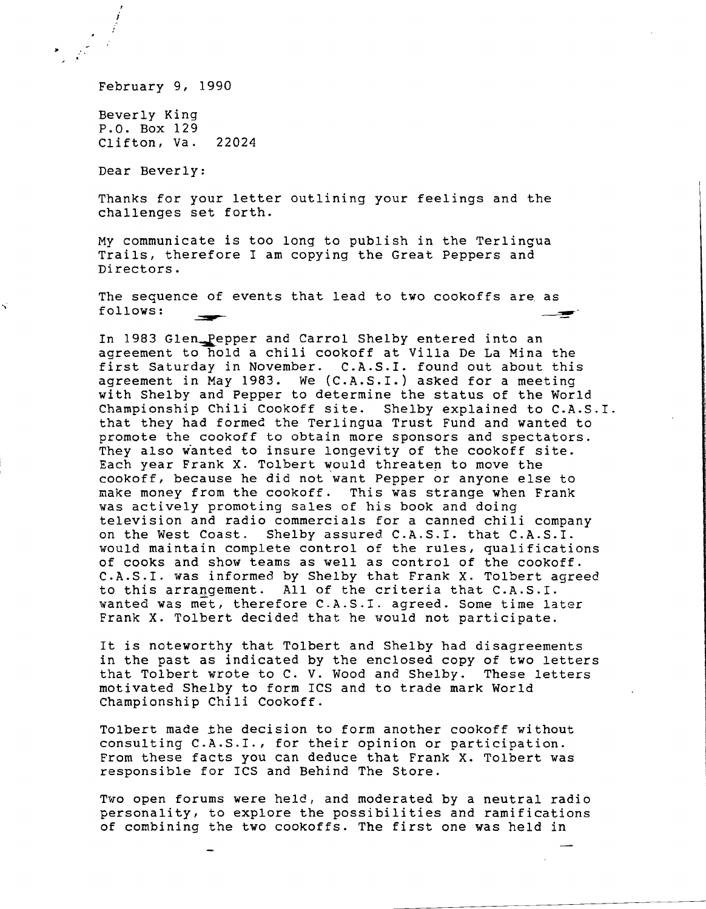February 9, 1990

 $\mathbf{r} = \frac{1}{2}$ 

Beverly King P.O. Box 129 Clifton, Va. 22024

Dear Beverly:

Thanks for your letter outlining your feelings and the challenges set forth.

My communicate is too long to publish in the Terlingua Trails, therefore I am copying the Great Peppers and Directors.

The sequence of events that lead to two cookoffs are as  $f_{\text{oldOWS}}$ :

In 1983 Glen\_Pepper and Carrol Shelby entered into an agreement to hold a chili cookoff at Villa De La Mina the first Saturday in November. C.A.S.I. found out about this agreement in May 1983. We (C.A.S.I.) asked for a meeting with Shelby and Pepper to determine the status of the World Championship Chili Cookoff site. Shelby explained to C.A.S.I. that they had formed the Terlingua Trust Fund and wanted to promote the cookoff to obtain more sponsors and spectators. They also wanted to insure longevity of the cookoff site. Each year Frank X. Tolbert would threaten to move the cookoff, because he did not want Pepper or anyone else to make money from the cookoff. This was strange when Frank was actively promoting sales of his book and doing television and radio commercials for a canned chili company on the West Coast. Shelby assured C.A.S.I. that C.A.S.I. would maintain complete control of the rules, qualifications of cooks and show teams as well as control of the cookoff. C.A.S.I. was informed by Shelby that Frank X. Tolbert agreed to this arrangement. All of the criteria that C.A.S.I. wanted was met, therefore C.A.S.I. agreed. Some time later Frank X. Tolbert decided that he would not participate.

It is noteworthy that Tolbert and Shelby had disagreements in the past as indicated by the enclosed copy of two letters<br>that Tolbert wrote to C. V. Wood and Shelby. These letters that Tolbert wrote to C. V. Wood and Shelby. motivated Shelby to form ICS and to trade mark World Championship Chili Cookoff.

Tolbert made Lhe decision to form another cookoff without consulting C.A.S.I., for their opinion or participation. From these facts you can deduce that Frank X. Tolbert was responsible for ICS and Behind The Store.

Two open forums were held, and moderated by a neutral radio personality, to explore the possibilities and ramifications of combining the two cookoffs. The first one was held in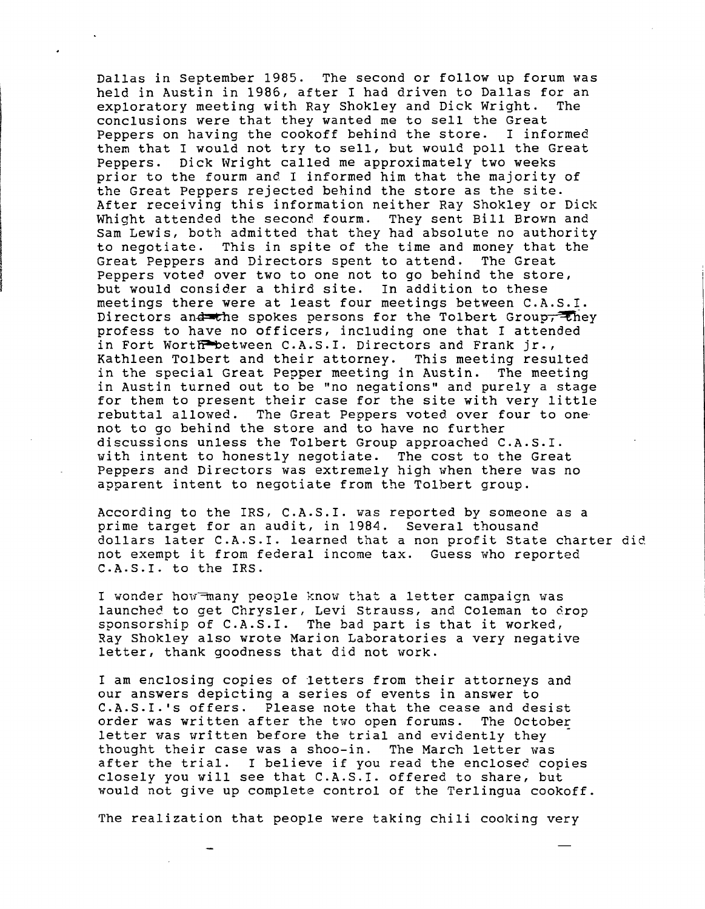Dallas in September 1985. The second or follow up forum was held in Austin in 1986, after I had driven to Dallas for an exploratory meeting with Ray Shokley and Dick Wright. The exploratory meeting with Ray Shokley and Dick Wright. conclusions were that they wanted me to sell the Great<br>Peppers on having the cookoff behind the store. I informed Peppers on having the cookoff behind the store. them that I would not try to sell, but would poll the Great Peppers. Dick Wright called me approximately two weeks prior to the fourm and I informed him that the majority of the Great Peppers rejected behind the store as the site. After receiving this information neither Ray Shokley or Dick Whight attended the second fourm. They sent Bill Brown and Sam Lewis, both admitted that they had absolute no authority<br>to negotiate. This in spite of the time and money that the This in spite of the time and money that the<br>and Directors spent to attend. The Great Great Peppers and Directors spent to attend. Peppers voted over two to one not to go behind the store, but would consider a third site. In addition to these meetings there were at least four meetings between C.A.S.I. Directors and the spokes persons for the Tolbert Group, they profess to have no officers, including one that I attended in Fort Worth between C.A.S.I. Directors and Frank jr.,<br>Kathleen Tolbert and their attorney. This meeting resulted Kathleen Tolbert and their attorney. in the special Great Pepper meeting in Austin. The meeting in Austin turned out to be "no negations" and purely a stage for them to present their case for the site with very little rebuttal allowed. The Great Peppers voted over four to onenot to go behind the store and to have no further discussions unless the Tolbert Group approached C.A.S.I. with intent to honestly negotiate. The cost to the Great Peppers and Directors was extremely high when there was no apparent intent to negotiate from the Tolbert group.

According to the IRS, C.A.S.I. was reported by someone as a prime target for an audit, in 1984. Several thousand dollars later C.A.S.I. learned that a non profit State charter did not exempt it from federal income tax. Guess who reported C.A.S.I. to the IRS.

I wonder how many people know that a letter campaign was launched to get Chrysler, Levi Strauss, and Coleman to drop sponsorship of C.A.S.I. The bad part is that it worked, Ray Shokley also wrote Marion Laboratories a very negative letter, thank goodness that did not work.

I am enclosing copies of letters from their attorneys and our answers depicting a series of events in answer to C.A.S.I. 's offers. Please note that the cease and desist order was written after the two open forums. The October letter was written before the trial and evidently they thought their case was a shoo-in. The March letter was after the trial. I believe if you read the enclosed copies closely you will see that C.A.S.I. offered to share, but would not give up complete control of the Terlingua cookoff.

The realization that people were taking chili cooking very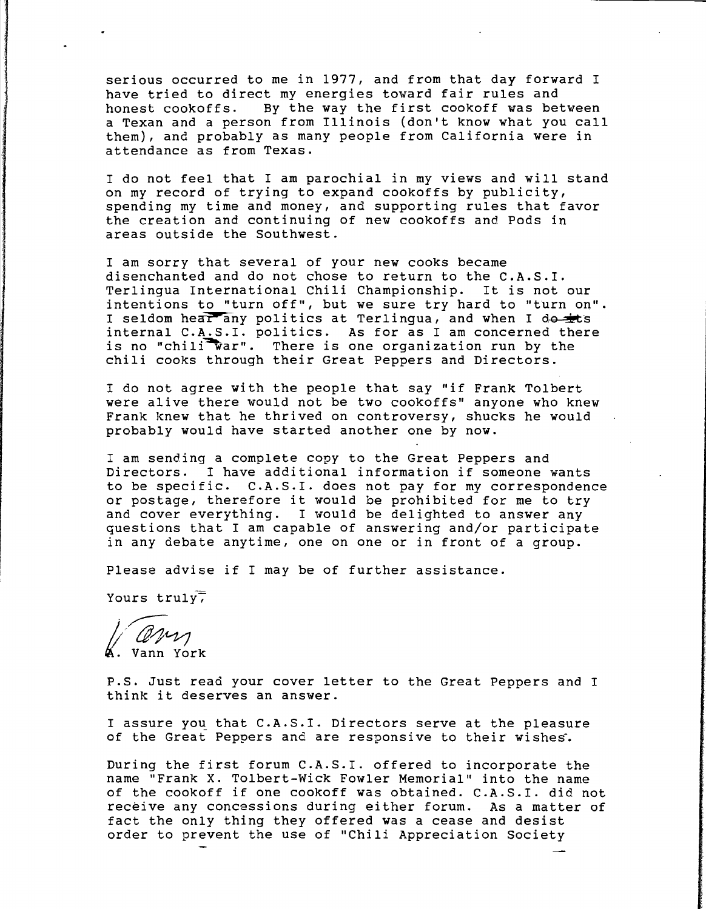serious occurred to me in 1977, and from that day forward I have tried to direct my energies toward fair rules and honest cookoffs. By the way the first cookoff was between a Texan and a person from Illinois (don't know what you call them), and probably as many people from California were in attendance as from Texas.

I do not feel that I am parochial in my views and will stand on my record of trying to expand cookoffs by publicity, spending my time and money, and supporting rules that favor the creation and continuing of new cookoffs and Pods in areas outside the Southwest.

I am sorry that several of your new cooks became disenchanted and do not chose to return to the C.A.S.I. Terlingua International Chili Championship. It is not our intentions to "turn off", but we sure try hard to "turn on". I seldom hear any politics at Terlingua, and when I do internal C.A.S.I. politics. As for as I am concerned there is no "chili war". There is one organization run by the chili cooks through their Great Peppers and Directors.

I do not agree with the people that say "if Frank Tolbert were alive there would not be two cookoffs" anyone who knew Frank knew that he thrived on controversy, shucks he would probably would have started another one by now.

I am sending a complete copy to the Great Peppers and Directors. I have additional information if someone wants to be specific. C.A.S.I. does not pay for my correspondence or postage, therefore it would be prohibited for me to try and cover everything. I would be delighted to answer any questions that I am capable of answering and/or participate in any debate anytime, one on one or in front of a group.

Please advise if I may be of further assistance.

Yours  $truly$ ,

l'@~~ Vann York

P.S. Just read your cover letter to the Great Peppers and I think it deserves an answer.

I assure you that C.A.S.I. Directors serve at the pleasure of the Great Peppers and are responsive to their wishes.

During the first forum C.A.S.I. offered to incorporate the name "Frank X. Tolbert-Wick Fowler Memorial" into the name of the cookoff if one cookoff was obtained. C.A.S.I. did not receive any concessions during either forum. As a matter of fact the only thing they offered was a cease and desist order to prevent the use of "Chili Appreciation Society